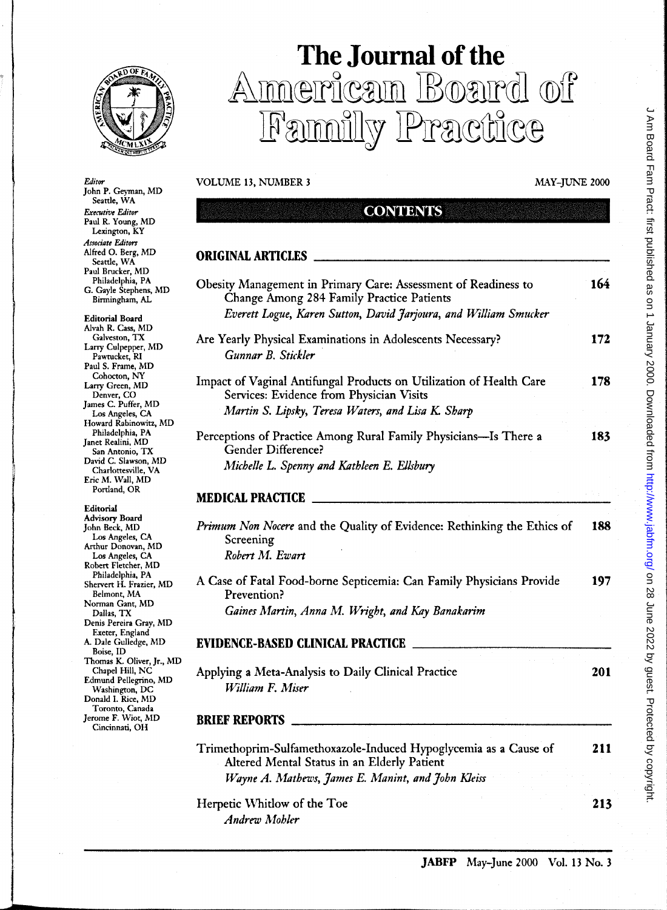

## **The Journal of the**  Imerican Board of PACHIC<del>C</del>

**CONTENTS** 

VOLUME 13, NUMBER 3 MAY-JUNE 2000

**ORIGINAL ARTICLES** 

*Editor*  John P. Geyman, MD Seattle, WA *Executive Editor*  Paul R. Young, MD Lexington, KY *Associate Editon*  Alfred O. Berg, MD Seattle, WA Paul Brucker, MD Philadelphia, PA G. Gayle Stephens, MD Birmingham, AL

Editorial Board Alvah R. Cass, MD Galveston, TX Larry Culpepper, MD Pawtucket, RI Paul S. Frame, MD Cohocton, NY Larry Green, MD Denver, CO James C. Puffer, MD Los Angeles, CA Howard Rabinowitz, MD Philadelphia, PA Janet Realini, MD San Antonio, TX David C. Slawson, MD Charlottesville, VA Eric M. Wall, MD Portland, OR

Editorial Advisory Board John Beck, MD Los Angeles, CA Arthur Donovan, MD Los Angeles, CA Robert Fletcher, MD Philadelphia, PA Shervert H. Frazier, MD Belmont, MA Norman Gant, MD Dallas, TX Denis Pereira Gray, MD Exeter, England A. Dale Gulledge, MD Boise,ID Thomas K. Oliver, Jr., MD Chapel Hill, NC Edmund Pellegrino, MD Washington, DC Donald I. Rice, MD Toronto, Canada Jerome F. Wiot, MD Cincinnati, OH

**>** 

| Obesity Management in Primary Care: Assessment of Readiness to<br>Change Among 284 Family Practice Patients     | 164 |
|-----------------------------------------------------------------------------------------------------------------|-----|
| Everett Logue, Karen Sutton, David Jarjoura, and William Smucker                                                |     |
| Are Yearly Physical Examinations in Adolescents Necessary?<br>Gunnar B. Stickler                                | 172 |
| Impact of Vaginal Antifungal Products on Utilization of Health Care<br>Services: Evidence from Physician Visits | 178 |
| Martin S. Lipsky, Teresa Waters, and Lisa K. Sharp                                                              |     |
| Perceptions of Practice Among Rural Family Physicians—Is There a<br>Gender Difference?                          | 183 |
| Michelle L. Spenny and Kathleen E. Ellsbury                                                                     |     |
| <b>MEDICAL PRACTICE</b>                                                                                         |     |
| Primum Non Nocere and the Quality of Evidence: Rethinking the Ethics of<br>Screening<br>Robert M. Ewart         | 188 |
| A Case of Fatal Food-borne Septicemia: Can Family Physicians Provide<br>Prevention?                             | 197 |
| Gaines Martin, Anna M. Wright, and Kay Banakarim                                                                |     |
| <b>EVIDENCE-BASED CLINICAL PRACTICE</b>                                                                         |     |
| Applying a Meta-Analysis to Daily Clinical Practice<br>William F. Miser                                         | 201 |
| <b>BRIEF REPORTS</b>                                                                                            |     |
| Trimethoprim-Sulfamethoxazole-Induced Hypoglycemia as a Cause of<br>Altered Mental Status in an Elderly Patient | 211 |
| Wayne A. Mathews, James E. Manint, and John Kleiss                                                              |     |
| Herpetic Whitlow of the Toe                                                                                     | 213 |

*Andrw Mohler*